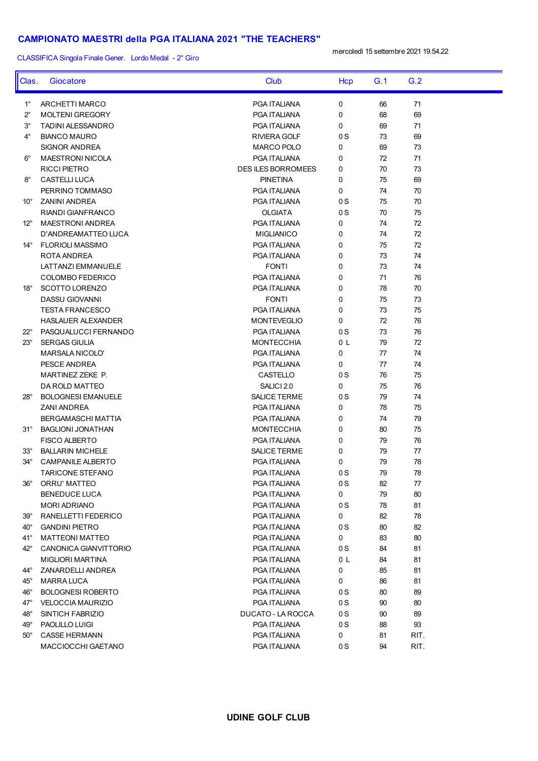## **CAMPIONATO MAESTRI della PGA ITALIANA 2021 "THE TEACHERS"**

CLASSIFICA Singola Finale Gener. Lordo Medal - 2° Giro

mercoledì 15 settembre 2021 19.54.22

| PGA ITALIANA<br>0<br>71<br>$1^{\circ}$<br>ARCHETTI MARCO<br>66<br>0<br>68<br>69<br>$2^{\circ}$<br><b>MOLTENI GREGORY</b><br>PGA ITALIANA<br>0<br>71<br>$3^\circ$<br><b>TADINI ALESSANDRO</b><br>PGA ITALIANA<br>69<br>$4^{\circ}$<br>0S<br>73<br>69<br><b>BIANCO MAURO</b><br>RIVIERA GOLF<br>73<br>SIGNOR ANDREA<br>MARCO POLO<br>0<br>69<br>72<br>71<br>$6^{\circ}$<br>MAESTRONI NICOLA<br>PGA ITALIANA<br>0<br>70<br>73<br><b>RICCI PIETRO</b><br><b>DES ILES BORROMEES</b><br>0<br><b>PINETINA</b><br>0<br>75<br>69<br>$8^{\circ}$<br><b>CASTELLI LUCA</b><br>0<br>74<br>70<br>PERRINO TOMMASO<br>PGA ITALIANA<br>75<br>70<br>10° ZANINI ANDREA<br>PGA ITALIANA<br>0 S<br><b>OLGIATA</b><br>0S<br>70<br>75<br>RIANDI GIANFRANCO<br>0<br>74<br>72<br>12° MAESTRONI ANDREA<br>PGA ITALIANA<br>74<br>72<br>D'ANDREAMATTEO LUCA<br><b>MIGLIANICO</b><br>0<br>0<br>75<br>72<br>14° FLORIOLI MASSIMO<br>PGA ITALIANA<br>0<br>73<br>74<br>ROTA ANDREA<br>PGA ITALIANA<br><b>FONTI</b><br>0<br>73<br>74<br>LATTANZI EMMANUELE<br>0<br>71<br>76<br>COLOMBO FEDERICO<br>PGA ITALIANA<br>0<br>78<br>70<br>18° SCOTTO LORENZO<br>PGA ITALIANA<br><b>FONTI</b><br>0<br>75<br>73<br><b>DASSU GIOVANNI</b><br>0<br>73<br>75<br><b>TESTA FRANCESCO</b><br>PGA ITALIANA<br>0<br>72<br>76<br><b>HASLAUER ALEXANDER</b><br><b>MONTEVEGLIO</b><br>73<br>76<br>22° PASQUALUCCI FERNANDO<br>PGA ITALIANA<br>0 S<br>79<br>72<br>$23^\circ$<br><b>SERGAS GIULIA</b><br><b>MONTECCHIA</b><br>0 L<br>0<br>74<br>MARSALA NICOLO'<br>PGA ITALIANA<br>77<br>77<br>74<br>PESCE ANDREA<br>PGA ITALIANA<br>0<br>0S<br>76<br>75<br>MARTINEZ ZEKE P.<br>CASTELLO<br>75<br>76<br>DA ROLD MATTEO<br>SALICI 2.0<br>0<br>0S<br>79<br>74<br>28° BOLOGNESI EMANUELE<br>SALICE TERME<br>0<br>78<br>75<br><b>ZANI ANDREA</b><br>PGA ITALIANA<br>74<br>79<br>BERGAMASCHI MATTIA<br>PGA ITALIANA<br>0<br>0<br>75<br>31° BAGLIONI JONATHAN<br><b>MONTECCHIA</b><br>80<br>0<br>79<br>76<br><b>FISCO ALBERTO</b><br>PGA ITALIANA<br>0<br>77<br>$33^\circ$<br><b>BALLARIN MICHELE</b><br><b>SALICE TERME</b><br>79<br>$34^\circ$<br>78<br><b>CAMPANILE ALBERTO</b><br>PGA ITALIANA<br>0<br>79<br>79<br>78<br>TARICONE STEFANO<br>PGA ITALIANA<br>0 S<br><b>ORRU' MATTEO</b><br>0S<br>77<br>PGA ITALIANA<br>82<br>$36^{\circ}$<br>0<br><b>BENEDUCE LUCA</b><br>PGA ITALIANA<br>79<br>80<br>0S<br>81<br><b>MORI ADRIANO</b><br>PGA ITALIANA<br>78<br>0<br>RANELLETTI FEDERICO<br>PGA ITALIANA<br>82<br>78<br>$39^{\circ}$<br><b>GANDINI PIETRO</b><br>PGA ITALIANA<br>0S<br>80<br>82<br>40°<br>0<br>41°<br>PGA ITALIANA<br>83<br>80<br><b>MATTEONI MATTEO</b><br>42°<br>CANONICA GIANVITTORIO<br>PGA ITALIANA<br>0S<br>84<br>81<br>PGA ITALIANA<br>0 L<br>84<br>81<br>MIGLIORI MARTINA<br>0<br>PGA ITALIANA<br>85<br>81<br>44°<br>ZANARDELLI ANDREA<br>0<br><b>MARRA LUCA</b><br>PGA ITALIANA<br>86<br>81<br>45°<br><b>BOLOGNESI ROBERTO</b><br>PGA ITALIANA<br>0S<br>80<br>89<br>46°<br>47°<br>PGA ITALIANA<br>0S<br>90<br>80<br><b>VELOCCIA MAURIZIO</b><br>48°<br>SINTICH FABRIZIO<br>DUCATO - LA ROCCA<br>0S<br>90<br>89<br>PAOLILLO LUIGI<br>PGA ITALIANA<br>0S<br>88<br>93<br>49°<br>0<br><b>CASSE HERMANN</b><br>PGA ITALIANA<br>81<br>RIT.<br>$50^\circ$<br>94<br>MACCIOCCHI GAETANO<br>PGA ITALIANA<br>0 S<br>RIT. | Clas. | Giocatore | Club | Hcp | G.1 | G.2 |  |
|-------------------------------------------------------------------------------------------------------------------------------------------------------------------------------------------------------------------------------------------------------------------------------------------------------------------------------------------------------------------------------------------------------------------------------------------------------------------------------------------------------------------------------------------------------------------------------------------------------------------------------------------------------------------------------------------------------------------------------------------------------------------------------------------------------------------------------------------------------------------------------------------------------------------------------------------------------------------------------------------------------------------------------------------------------------------------------------------------------------------------------------------------------------------------------------------------------------------------------------------------------------------------------------------------------------------------------------------------------------------------------------------------------------------------------------------------------------------------------------------------------------------------------------------------------------------------------------------------------------------------------------------------------------------------------------------------------------------------------------------------------------------------------------------------------------------------------------------------------------------------------------------------------------------------------------------------------------------------------------------------------------------------------------------------------------------------------------------------------------------------------------------------------------------------------------------------------------------------------------------------------------------------------------------------------------------------------------------------------------------------------------------------------------------------------------------------------------------------------------------------------------------------------------------------------------------------------------------------------------------------------------------------------------------------------------------------------------------------------------------------------------------------------------------------------------------------------------------------------------------------------------------------------------------------------------------------------------------------------------------------------------------------------------------------------------------------------------------------------------------------------------------------------------------------------------------------------------------------------------------------------------------------------|-------|-----------|------|-----|-----|-----|--|
|                                                                                                                                                                                                                                                                                                                                                                                                                                                                                                                                                                                                                                                                                                                                                                                                                                                                                                                                                                                                                                                                                                                                                                                                                                                                                                                                                                                                                                                                                                                                                                                                                                                                                                                                                                                                                                                                                                                                                                                                                                                                                                                                                                                                                                                                                                                                                                                                                                                                                                                                                                                                                                                                                                                                                                                                                                                                                                                                                                                                                                                                                                                                                                                                                                                                               |       |           |      |     |     |     |  |
|                                                                                                                                                                                                                                                                                                                                                                                                                                                                                                                                                                                                                                                                                                                                                                                                                                                                                                                                                                                                                                                                                                                                                                                                                                                                                                                                                                                                                                                                                                                                                                                                                                                                                                                                                                                                                                                                                                                                                                                                                                                                                                                                                                                                                                                                                                                                                                                                                                                                                                                                                                                                                                                                                                                                                                                                                                                                                                                                                                                                                                                                                                                                                                                                                                                                               |       |           |      |     |     |     |  |
|                                                                                                                                                                                                                                                                                                                                                                                                                                                                                                                                                                                                                                                                                                                                                                                                                                                                                                                                                                                                                                                                                                                                                                                                                                                                                                                                                                                                                                                                                                                                                                                                                                                                                                                                                                                                                                                                                                                                                                                                                                                                                                                                                                                                                                                                                                                                                                                                                                                                                                                                                                                                                                                                                                                                                                                                                                                                                                                                                                                                                                                                                                                                                                                                                                                                               |       |           |      |     |     |     |  |
|                                                                                                                                                                                                                                                                                                                                                                                                                                                                                                                                                                                                                                                                                                                                                                                                                                                                                                                                                                                                                                                                                                                                                                                                                                                                                                                                                                                                                                                                                                                                                                                                                                                                                                                                                                                                                                                                                                                                                                                                                                                                                                                                                                                                                                                                                                                                                                                                                                                                                                                                                                                                                                                                                                                                                                                                                                                                                                                                                                                                                                                                                                                                                                                                                                                                               |       |           |      |     |     |     |  |
|                                                                                                                                                                                                                                                                                                                                                                                                                                                                                                                                                                                                                                                                                                                                                                                                                                                                                                                                                                                                                                                                                                                                                                                                                                                                                                                                                                                                                                                                                                                                                                                                                                                                                                                                                                                                                                                                                                                                                                                                                                                                                                                                                                                                                                                                                                                                                                                                                                                                                                                                                                                                                                                                                                                                                                                                                                                                                                                                                                                                                                                                                                                                                                                                                                                                               |       |           |      |     |     |     |  |
|                                                                                                                                                                                                                                                                                                                                                                                                                                                                                                                                                                                                                                                                                                                                                                                                                                                                                                                                                                                                                                                                                                                                                                                                                                                                                                                                                                                                                                                                                                                                                                                                                                                                                                                                                                                                                                                                                                                                                                                                                                                                                                                                                                                                                                                                                                                                                                                                                                                                                                                                                                                                                                                                                                                                                                                                                                                                                                                                                                                                                                                                                                                                                                                                                                                                               |       |           |      |     |     |     |  |
|                                                                                                                                                                                                                                                                                                                                                                                                                                                                                                                                                                                                                                                                                                                                                                                                                                                                                                                                                                                                                                                                                                                                                                                                                                                                                                                                                                                                                                                                                                                                                                                                                                                                                                                                                                                                                                                                                                                                                                                                                                                                                                                                                                                                                                                                                                                                                                                                                                                                                                                                                                                                                                                                                                                                                                                                                                                                                                                                                                                                                                                                                                                                                                                                                                                                               |       |           |      |     |     |     |  |
|                                                                                                                                                                                                                                                                                                                                                                                                                                                                                                                                                                                                                                                                                                                                                                                                                                                                                                                                                                                                                                                                                                                                                                                                                                                                                                                                                                                                                                                                                                                                                                                                                                                                                                                                                                                                                                                                                                                                                                                                                                                                                                                                                                                                                                                                                                                                                                                                                                                                                                                                                                                                                                                                                                                                                                                                                                                                                                                                                                                                                                                                                                                                                                                                                                                                               |       |           |      |     |     |     |  |
|                                                                                                                                                                                                                                                                                                                                                                                                                                                                                                                                                                                                                                                                                                                                                                                                                                                                                                                                                                                                                                                                                                                                                                                                                                                                                                                                                                                                                                                                                                                                                                                                                                                                                                                                                                                                                                                                                                                                                                                                                                                                                                                                                                                                                                                                                                                                                                                                                                                                                                                                                                                                                                                                                                                                                                                                                                                                                                                                                                                                                                                                                                                                                                                                                                                                               |       |           |      |     |     |     |  |
|                                                                                                                                                                                                                                                                                                                                                                                                                                                                                                                                                                                                                                                                                                                                                                                                                                                                                                                                                                                                                                                                                                                                                                                                                                                                                                                                                                                                                                                                                                                                                                                                                                                                                                                                                                                                                                                                                                                                                                                                                                                                                                                                                                                                                                                                                                                                                                                                                                                                                                                                                                                                                                                                                                                                                                                                                                                                                                                                                                                                                                                                                                                                                                                                                                                                               |       |           |      |     |     |     |  |
|                                                                                                                                                                                                                                                                                                                                                                                                                                                                                                                                                                                                                                                                                                                                                                                                                                                                                                                                                                                                                                                                                                                                                                                                                                                                                                                                                                                                                                                                                                                                                                                                                                                                                                                                                                                                                                                                                                                                                                                                                                                                                                                                                                                                                                                                                                                                                                                                                                                                                                                                                                                                                                                                                                                                                                                                                                                                                                                                                                                                                                                                                                                                                                                                                                                                               |       |           |      |     |     |     |  |
|                                                                                                                                                                                                                                                                                                                                                                                                                                                                                                                                                                                                                                                                                                                                                                                                                                                                                                                                                                                                                                                                                                                                                                                                                                                                                                                                                                                                                                                                                                                                                                                                                                                                                                                                                                                                                                                                                                                                                                                                                                                                                                                                                                                                                                                                                                                                                                                                                                                                                                                                                                                                                                                                                                                                                                                                                                                                                                                                                                                                                                                                                                                                                                                                                                                                               |       |           |      |     |     |     |  |
|                                                                                                                                                                                                                                                                                                                                                                                                                                                                                                                                                                                                                                                                                                                                                                                                                                                                                                                                                                                                                                                                                                                                                                                                                                                                                                                                                                                                                                                                                                                                                                                                                                                                                                                                                                                                                                                                                                                                                                                                                                                                                                                                                                                                                                                                                                                                                                                                                                                                                                                                                                                                                                                                                                                                                                                                                                                                                                                                                                                                                                                                                                                                                                                                                                                                               |       |           |      |     |     |     |  |
|                                                                                                                                                                                                                                                                                                                                                                                                                                                                                                                                                                                                                                                                                                                                                                                                                                                                                                                                                                                                                                                                                                                                                                                                                                                                                                                                                                                                                                                                                                                                                                                                                                                                                                                                                                                                                                                                                                                                                                                                                                                                                                                                                                                                                                                                                                                                                                                                                                                                                                                                                                                                                                                                                                                                                                                                                                                                                                                                                                                                                                                                                                                                                                                                                                                                               |       |           |      |     |     |     |  |
|                                                                                                                                                                                                                                                                                                                                                                                                                                                                                                                                                                                                                                                                                                                                                                                                                                                                                                                                                                                                                                                                                                                                                                                                                                                                                                                                                                                                                                                                                                                                                                                                                                                                                                                                                                                                                                                                                                                                                                                                                                                                                                                                                                                                                                                                                                                                                                                                                                                                                                                                                                                                                                                                                                                                                                                                                                                                                                                                                                                                                                                                                                                                                                                                                                                                               |       |           |      |     |     |     |  |
|                                                                                                                                                                                                                                                                                                                                                                                                                                                                                                                                                                                                                                                                                                                                                                                                                                                                                                                                                                                                                                                                                                                                                                                                                                                                                                                                                                                                                                                                                                                                                                                                                                                                                                                                                                                                                                                                                                                                                                                                                                                                                                                                                                                                                                                                                                                                                                                                                                                                                                                                                                                                                                                                                                                                                                                                                                                                                                                                                                                                                                                                                                                                                                                                                                                                               |       |           |      |     |     |     |  |
|                                                                                                                                                                                                                                                                                                                                                                                                                                                                                                                                                                                                                                                                                                                                                                                                                                                                                                                                                                                                                                                                                                                                                                                                                                                                                                                                                                                                                                                                                                                                                                                                                                                                                                                                                                                                                                                                                                                                                                                                                                                                                                                                                                                                                                                                                                                                                                                                                                                                                                                                                                                                                                                                                                                                                                                                                                                                                                                                                                                                                                                                                                                                                                                                                                                                               |       |           |      |     |     |     |  |
|                                                                                                                                                                                                                                                                                                                                                                                                                                                                                                                                                                                                                                                                                                                                                                                                                                                                                                                                                                                                                                                                                                                                                                                                                                                                                                                                                                                                                                                                                                                                                                                                                                                                                                                                                                                                                                                                                                                                                                                                                                                                                                                                                                                                                                                                                                                                                                                                                                                                                                                                                                                                                                                                                                                                                                                                                                                                                                                                                                                                                                                                                                                                                                                                                                                                               |       |           |      |     |     |     |  |
|                                                                                                                                                                                                                                                                                                                                                                                                                                                                                                                                                                                                                                                                                                                                                                                                                                                                                                                                                                                                                                                                                                                                                                                                                                                                                                                                                                                                                                                                                                                                                                                                                                                                                                                                                                                                                                                                                                                                                                                                                                                                                                                                                                                                                                                                                                                                                                                                                                                                                                                                                                                                                                                                                                                                                                                                                                                                                                                                                                                                                                                                                                                                                                                                                                                                               |       |           |      |     |     |     |  |
|                                                                                                                                                                                                                                                                                                                                                                                                                                                                                                                                                                                                                                                                                                                                                                                                                                                                                                                                                                                                                                                                                                                                                                                                                                                                                                                                                                                                                                                                                                                                                                                                                                                                                                                                                                                                                                                                                                                                                                                                                                                                                                                                                                                                                                                                                                                                                                                                                                                                                                                                                                                                                                                                                                                                                                                                                                                                                                                                                                                                                                                                                                                                                                                                                                                                               |       |           |      |     |     |     |  |
|                                                                                                                                                                                                                                                                                                                                                                                                                                                                                                                                                                                                                                                                                                                                                                                                                                                                                                                                                                                                                                                                                                                                                                                                                                                                                                                                                                                                                                                                                                                                                                                                                                                                                                                                                                                                                                                                                                                                                                                                                                                                                                                                                                                                                                                                                                                                                                                                                                                                                                                                                                                                                                                                                                                                                                                                                                                                                                                                                                                                                                                                                                                                                                                                                                                                               |       |           |      |     |     |     |  |
|                                                                                                                                                                                                                                                                                                                                                                                                                                                                                                                                                                                                                                                                                                                                                                                                                                                                                                                                                                                                                                                                                                                                                                                                                                                                                                                                                                                                                                                                                                                                                                                                                                                                                                                                                                                                                                                                                                                                                                                                                                                                                                                                                                                                                                                                                                                                                                                                                                                                                                                                                                                                                                                                                                                                                                                                                                                                                                                                                                                                                                                                                                                                                                                                                                                                               |       |           |      |     |     |     |  |
|                                                                                                                                                                                                                                                                                                                                                                                                                                                                                                                                                                                                                                                                                                                                                                                                                                                                                                                                                                                                                                                                                                                                                                                                                                                                                                                                                                                                                                                                                                                                                                                                                                                                                                                                                                                                                                                                                                                                                                                                                                                                                                                                                                                                                                                                                                                                                                                                                                                                                                                                                                                                                                                                                                                                                                                                                                                                                                                                                                                                                                                                                                                                                                                                                                                                               |       |           |      |     |     |     |  |
|                                                                                                                                                                                                                                                                                                                                                                                                                                                                                                                                                                                                                                                                                                                                                                                                                                                                                                                                                                                                                                                                                                                                                                                                                                                                                                                                                                                                                                                                                                                                                                                                                                                                                                                                                                                                                                                                                                                                                                                                                                                                                                                                                                                                                                                                                                                                                                                                                                                                                                                                                                                                                                                                                                                                                                                                                                                                                                                                                                                                                                                                                                                                                                                                                                                                               |       |           |      |     |     |     |  |
|                                                                                                                                                                                                                                                                                                                                                                                                                                                                                                                                                                                                                                                                                                                                                                                                                                                                                                                                                                                                                                                                                                                                                                                                                                                                                                                                                                                                                                                                                                                                                                                                                                                                                                                                                                                                                                                                                                                                                                                                                                                                                                                                                                                                                                                                                                                                                                                                                                                                                                                                                                                                                                                                                                                                                                                                                                                                                                                                                                                                                                                                                                                                                                                                                                                                               |       |           |      |     |     |     |  |
|                                                                                                                                                                                                                                                                                                                                                                                                                                                                                                                                                                                                                                                                                                                                                                                                                                                                                                                                                                                                                                                                                                                                                                                                                                                                                                                                                                                                                                                                                                                                                                                                                                                                                                                                                                                                                                                                                                                                                                                                                                                                                                                                                                                                                                                                                                                                                                                                                                                                                                                                                                                                                                                                                                                                                                                                                                                                                                                                                                                                                                                                                                                                                                                                                                                                               |       |           |      |     |     |     |  |
|                                                                                                                                                                                                                                                                                                                                                                                                                                                                                                                                                                                                                                                                                                                                                                                                                                                                                                                                                                                                                                                                                                                                                                                                                                                                                                                                                                                                                                                                                                                                                                                                                                                                                                                                                                                                                                                                                                                                                                                                                                                                                                                                                                                                                                                                                                                                                                                                                                                                                                                                                                                                                                                                                                                                                                                                                                                                                                                                                                                                                                                                                                                                                                                                                                                                               |       |           |      |     |     |     |  |
|                                                                                                                                                                                                                                                                                                                                                                                                                                                                                                                                                                                                                                                                                                                                                                                                                                                                                                                                                                                                                                                                                                                                                                                                                                                                                                                                                                                                                                                                                                                                                                                                                                                                                                                                                                                                                                                                                                                                                                                                                                                                                                                                                                                                                                                                                                                                                                                                                                                                                                                                                                                                                                                                                                                                                                                                                                                                                                                                                                                                                                                                                                                                                                                                                                                                               |       |           |      |     |     |     |  |
|                                                                                                                                                                                                                                                                                                                                                                                                                                                                                                                                                                                                                                                                                                                                                                                                                                                                                                                                                                                                                                                                                                                                                                                                                                                                                                                                                                                                                                                                                                                                                                                                                                                                                                                                                                                                                                                                                                                                                                                                                                                                                                                                                                                                                                                                                                                                                                                                                                                                                                                                                                                                                                                                                                                                                                                                                                                                                                                                                                                                                                                                                                                                                                                                                                                                               |       |           |      |     |     |     |  |
|                                                                                                                                                                                                                                                                                                                                                                                                                                                                                                                                                                                                                                                                                                                                                                                                                                                                                                                                                                                                                                                                                                                                                                                                                                                                                                                                                                                                                                                                                                                                                                                                                                                                                                                                                                                                                                                                                                                                                                                                                                                                                                                                                                                                                                                                                                                                                                                                                                                                                                                                                                                                                                                                                                                                                                                                                                                                                                                                                                                                                                                                                                                                                                                                                                                                               |       |           |      |     |     |     |  |
|                                                                                                                                                                                                                                                                                                                                                                                                                                                                                                                                                                                                                                                                                                                                                                                                                                                                                                                                                                                                                                                                                                                                                                                                                                                                                                                                                                                                                                                                                                                                                                                                                                                                                                                                                                                                                                                                                                                                                                                                                                                                                                                                                                                                                                                                                                                                                                                                                                                                                                                                                                                                                                                                                                                                                                                                                                                                                                                                                                                                                                                                                                                                                                                                                                                                               |       |           |      |     |     |     |  |
|                                                                                                                                                                                                                                                                                                                                                                                                                                                                                                                                                                                                                                                                                                                                                                                                                                                                                                                                                                                                                                                                                                                                                                                                                                                                                                                                                                                                                                                                                                                                                                                                                                                                                                                                                                                                                                                                                                                                                                                                                                                                                                                                                                                                                                                                                                                                                                                                                                                                                                                                                                                                                                                                                                                                                                                                                                                                                                                                                                                                                                                                                                                                                                                                                                                                               |       |           |      |     |     |     |  |
|                                                                                                                                                                                                                                                                                                                                                                                                                                                                                                                                                                                                                                                                                                                                                                                                                                                                                                                                                                                                                                                                                                                                                                                                                                                                                                                                                                                                                                                                                                                                                                                                                                                                                                                                                                                                                                                                                                                                                                                                                                                                                                                                                                                                                                                                                                                                                                                                                                                                                                                                                                                                                                                                                                                                                                                                                                                                                                                                                                                                                                                                                                                                                                                                                                                                               |       |           |      |     |     |     |  |
|                                                                                                                                                                                                                                                                                                                                                                                                                                                                                                                                                                                                                                                                                                                                                                                                                                                                                                                                                                                                                                                                                                                                                                                                                                                                                                                                                                                                                                                                                                                                                                                                                                                                                                                                                                                                                                                                                                                                                                                                                                                                                                                                                                                                                                                                                                                                                                                                                                                                                                                                                                                                                                                                                                                                                                                                                                                                                                                                                                                                                                                                                                                                                                                                                                                                               |       |           |      |     |     |     |  |
|                                                                                                                                                                                                                                                                                                                                                                                                                                                                                                                                                                                                                                                                                                                                                                                                                                                                                                                                                                                                                                                                                                                                                                                                                                                                                                                                                                                                                                                                                                                                                                                                                                                                                                                                                                                                                                                                                                                                                                                                                                                                                                                                                                                                                                                                                                                                                                                                                                                                                                                                                                                                                                                                                                                                                                                                                                                                                                                                                                                                                                                                                                                                                                                                                                                                               |       |           |      |     |     |     |  |
|                                                                                                                                                                                                                                                                                                                                                                                                                                                                                                                                                                                                                                                                                                                                                                                                                                                                                                                                                                                                                                                                                                                                                                                                                                                                                                                                                                                                                                                                                                                                                                                                                                                                                                                                                                                                                                                                                                                                                                                                                                                                                                                                                                                                                                                                                                                                                                                                                                                                                                                                                                                                                                                                                                                                                                                                                                                                                                                                                                                                                                                                                                                                                                                                                                                                               |       |           |      |     |     |     |  |
|                                                                                                                                                                                                                                                                                                                                                                                                                                                                                                                                                                                                                                                                                                                                                                                                                                                                                                                                                                                                                                                                                                                                                                                                                                                                                                                                                                                                                                                                                                                                                                                                                                                                                                                                                                                                                                                                                                                                                                                                                                                                                                                                                                                                                                                                                                                                                                                                                                                                                                                                                                                                                                                                                                                                                                                                                                                                                                                                                                                                                                                                                                                                                                                                                                                                               |       |           |      |     |     |     |  |
|                                                                                                                                                                                                                                                                                                                                                                                                                                                                                                                                                                                                                                                                                                                                                                                                                                                                                                                                                                                                                                                                                                                                                                                                                                                                                                                                                                                                                                                                                                                                                                                                                                                                                                                                                                                                                                                                                                                                                                                                                                                                                                                                                                                                                                                                                                                                                                                                                                                                                                                                                                                                                                                                                                                                                                                                                                                                                                                                                                                                                                                                                                                                                                                                                                                                               |       |           |      |     |     |     |  |
|                                                                                                                                                                                                                                                                                                                                                                                                                                                                                                                                                                                                                                                                                                                                                                                                                                                                                                                                                                                                                                                                                                                                                                                                                                                                                                                                                                                                                                                                                                                                                                                                                                                                                                                                                                                                                                                                                                                                                                                                                                                                                                                                                                                                                                                                                                                                                                                                                                                                                                                                                                                                                                                                                                                                                                                                                                                                                                                                                                                                                                                                                                                                                                                                                                                                               |       |           |      |     |     |     |  |
|                                                                                                                                                                                                                                                                                                                                                                                                                                                                                                                                                                                                                                                                                                                                                                                                                                                                                                                                                                                                                                                                                                                                                                                                                                                                                                                                                                                                                                                                                                                                                                                                                                                                                                                                                                                                                                                                                                                                                                                                                                                                                                                                                                                                                                                                                                                                                                                                                                                                                                                                                                                                                                                                                                                                                                                                                                                                                                                                                                                                                                                                                                                                                                                                                                                                               |       |           |      |     |     |     |  |
|                                                                                                                                                                                                                                                                                                                                                                                                                                                                                                                                                                                                                                                                                                                                                                                                                                                                                                                                                                                                                                                                                                                                                                                                                                                                                                                                                                                                                                                                                                                                                                                                                                                                                                                                                                                                                                                                                                                                                                                                                                                                                                                                                                                                                                                                                                                                                                                                                                                                                                                                                                                                                                                                                                                                                                                                                                                                                                                                                                                                                                                                                                                                                                                                                                                                               |       |           |      |     |     |     |  |
|                                                                                                                                                                                                                                                                                                                                                                                                                                                                                                                                                                                                                                                                                                                                                                                                                                                                                                                                                                                                                                                                                                                                                                                                                                                                                                                                                                                                                                                                                                                                                                                                                                                                                                                                                                                                                                                                                                                                                                                                                                                                                                                                                                                                                                                                                                                                                                                                                                                                                                                                                                                                                                                                                                                                                                                                                                                                                                                                                                                                                                                                                                                                                                                                                                                                               |       |           |      |     |     |     |  |
|                                                                                                                                                                                                                                                                                                                                                                                                                                                                                                                                                                                                                                                                                                                                                                                                                                                                                                                                                                                                                                                                                                                                                                                                                                                                                                                                                                                                                                                                                                                                                                                                                                                                                                                                                                                                                                                                                                                                                                                                                                                                                                                                                                                                                                                                                                                                                                                                                                                                                                                                                                                                                                                                                                                                                                                                                                                                                                                                                                                                                                                                                                                                                                                                                                                                               |       |           |      |     |     |     |  |
|                                                                                                                                                                                                                                                                                                                                                                                                                                                                                                                                                                                                                                                                                                                                                                                                                                                                                                                                                                                                                                                                                                                                                                                                                                                                                                                                                                                                                                                                                                                                                                                                                                                                                                                                                                                                                                                                                                                                                                                                                                                                                                                                                                                                                                                                                                                                                                                                                                                                                                                                                                                                                                                                                                                                                                                                                                                                                                                                                                                                                                                                                                                                                                                                                                                                               |       |           |      |     |     |     |  |
|                                                                                                                                                                                                                                                                                                                                                                                                                                                                                                                                                                                                                                                                                                                                                                                                                                                                                                                                                                                                                                                                                                                                                                                                                                                                                                                                                                                                                                                                                                                                                                                                                                                                                                                                                                                                                                                                                                                                                                                                                                                                                                                                                                                                                                                                                                                                                                                                                                                                                                                                                                                                                                                                                                                                                                                                                                                                                                                                                                                                                                                                                                                                                                                                                                                                               |       |           |      |     |     |     |  |
|                                                                                                                                                                                                                                                                                                                                                                                                                                                                                                                                                                                                                                                                                                                                                                                                                                                                                                                                                                                                                                                                                                                                                                                                                                                                                                                                                                                                                                                                                                                                                                                                                                                                                                                                                                                                                                                                                                                                                                                                                                                                                                                                                                                                                                                                                                                                                                                                                                                                                                                                                                                                                                                                                                                                                                                                                                                                                                                                                                                                                                                                                                                                                                                                                                                                               |       |           |      |     |     |     |  |
|                                                                                                                                                                                                                                                                                                                                                                                                                                                                                                                                                                                                                                                                                                                                                                                                                                                                                                                                                                                                                                                                                                                                                                                                                                                                                                                                                                                                                                                                                                                                                                                                                                                                                                                                                                                                                                                                                                                                                                                                                                                                                                                                                                                                                                                                                                                                                                                                                                                                                                                                                                                                                                                                                                                                                                                                                                                                                                                                                                                                                                                                                                                                                                                                                                                                               |       |           |      |     |     |     |  |
|                                                                                                                                                                                                                                                                                                                                                                                                                                                                                                                                                                                                                                                                                                                                                                                                                                                                                                                                                                                                                                                                                                                                                                                                                                                                                                                                                                                                                                                                                                                                                                                                                                                                                                                                                                                                                                                                                                                                                                                                                                                                                                                                                                                                                                                                                                                                                                                                                                                                                                                                                                                                                                                                                                                                                                                                                                                                                                                                                                                                                                                                                                                                                                                                                                                                               |       |           |      |     |     |     |  |
|                                                                                                                                                                                                                                                                                                                                                                                                                                                                                                                                                                                                                                                                                                                                                                                                                                                                                                                                                                                                                                                                                                                                                                                                                                                                                                                                                                                                                                                                                                                                                                                                                                                                                                                                                                                                                                                                                                                                                                                                                                                                                                                                                                                                                                                                                                                                                                                                                                                                                                                                                                                                                                                                                                                                                                                                                                                                                                                                                                                                                                                                                                                                                                                                                                                                               |       |           |      |     |     |     |  |
|                                                                                                                                                                                                                                                                                                                                                                                                                                                                                                                                                                                                                                                                                                                                                                                                                                                                                                                                                                                                                                                                                                                                                                                                                                                                                                                                                                                                                                                                                                                                                                                                                                                                                                                                                                                                                                                                                                                                                                                                                                                                                                                                                                                                                                                                                                                                                                                                                                                                                                                                                                                                                                                                                                                                                                                                                                                                                                                                                                                                                                                                                                                                                                                                                                                                               |       |           |      |     |     |     |  |
|                                                                                                                                                                                                                                                                                                                                                                                                                                                                                                                                                                                                                                                                                                                                                                                                                                                                                                                                                                                                                                                                                                                                                                                                                                                                                                                                                                                                                                                                                                                                                                                                                                                                                                                                                                                                                                                                                                                                                                                                                                                                                                                                                                                                                                                                                                                                                                                                                                                                                                                                                                                                                                                                                                                                                                                                                                                                                                                                                                                                                                                                                                                                                                                                                                                                               |       |           |      |     |     |     |  |